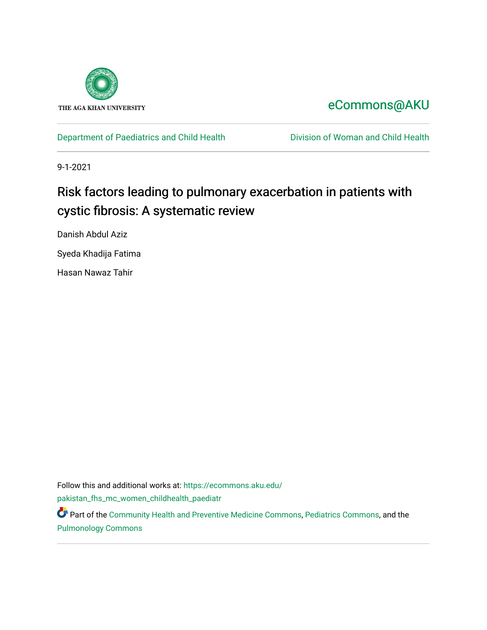

# [eCommons@AKU](https://ecommons.aku.edu/)

[Department of Paediatrics and Child Health](https://ecommons.aku.edu/pakistan_fhs_mc_women_childhealth_paediatr) [Division of Woman and Child Health](https://ecommons.aku.edu/pakistan_fhs_mc_women_childhealth) 

9-1-2021

# Risk factors leading to pulmonary exacerbation in patients with cystic fibrosis: A systematic review

Danish Abdul Aziz

Syeda Khadija Fatima

Hasan Nawaz Tahir

Follow this and additional works at: [https://ecommons.aku.edu/](https://ecommons.aku.edu/pakistan_fhs_mc_women_childhealth_paediatr?utm_source=ecommons.aku.edu%2Fpakistan_fhs_mc_women_childhealth_paediatr%2F1065&utm_medium=PDF&utm_campaign=PDFCoverPages) [pakistan\\_fhs\\_mc\\_women\\_childhealth\\_paediatr](https://ecommons.aku.edu/pakistan_fhs_mc_women_childhealth_paediatr?utm_source=ecommons.aku.edu%2Fpakistan_fhs_mc_women_childhealth_paediatr%2F1065&utm_medium=PDF&utm_campaign=PDFCoverPages) 

**P** Part of the [Community Health and Preventive Medicine Commons](http://network.bepress.com/hgg/discipline/744?utm_source=ecommons.aku.edu%2Fpakistan_fhs_mc_women_childhealth_paediatr%2F1065&utm_medium=PDF&utm_campaign=PDFCoverPages), [Pediatrics Commons,](http://network.bepress.com/hgg/discipline/700?utm_source=ecommons.aku.edu%2Fpakistan_fhs_mc_women_childhealth_paediatr%2F1065&utm_medium=PDF&utm_campaign=PDFCoverPages) and the [Pulmonology Commons](http://network.bepress.com/hgg/discipline/1363?utm_source=ecommons.aku.edu%2Fpakistan_fhs_mc_women_childhealth_paediatr%2F1065&utm_medium=PDF&utm_campaign=PDFCoverPages)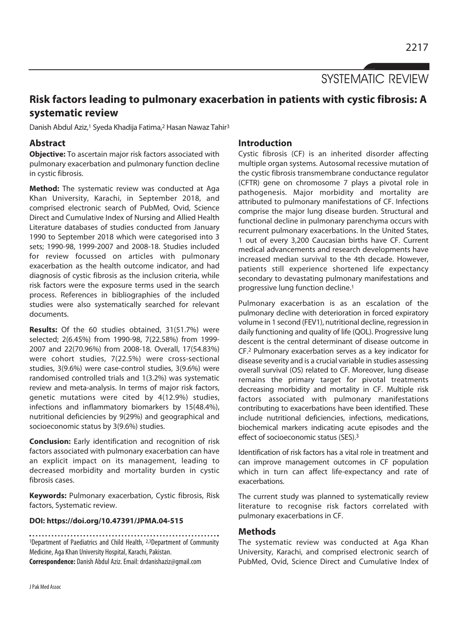SYSTEMATIC REVIEW

## **Risk factors leading to pulmonary exacerbation in patients with cystic fibrosis: A systematic review**

Danish Abdul Aziz,<sup>1</sup> Syeda Khadija Fatima,<sup>2</sup> Hasan Nawaz Tahir<sup>3</sup>

## **Abstract**

**Objective:** To ascertain major risk factors associated with pulmonary exacerbation and pulmonary function decline in cystic fibrosis.

**Method:** The systematic review was conducted at Aga Khan University, Karachi, in September 2018, and comprised electronic search of PubMed, Ovid, Science Direct and Cumulative Index of Nursing and Allied Health Literature databases of studies conducted from January 1990 to September 2018 which were categorised into 3 sets; 1990-98, 1999-2007 and 2008-18. Studies included for review focussed on articles with pulmonary exacerbation as the health outcome indicator, and had diagnosis of cystic fibrosis as the inclusion criteria, while risk factors were the exposure terms used in the search process. References in bibliographies of the included studies were also systematically searched for relevant documents.

**Results:** Of the 60 studies obtained, 31(51.7%) were selected; 2(6.45%) from 1990-98, 7(22.58%) from 1999- 2007 and 22(70.96%) from 2008-18. Overall, 17(54.83%) were cohort studies, 7(22.5%) were cross-sectional studies, 3(9.6%) were case-control studies, 3(9.6%) were randomised controlled trials and 1(3.2%) was systematic review and meta-analysis. In terms of major risk factors, genetic mutations were cited by 4(12.9%) studies, infections and inflammatory biomarkers by 15(48.4%), nutritional deficiencies by 9(29%) and geographical and socioeconomic status by 3(9.6%) studies.

**Conclusion:** Early identification and recognition of risk factors associated with pulmonary exacerbation can have an explicit impact on its management, leading to decreased morbidity and mortality burden in cystic fibrosis cases.

**Keywords:** Pulmonary exacerbation, Cystic fibrosis, Risk factors, Systematic review.

### **DOI: https://doi.org/10.47391/JPMA.04-515**

1Department of Paediatrics and Child Health, 2,3Department of Community Medicine, Aga Khan University Hospital, Karachi, Pakistan. **Correspondence:** Danish Abdul Aziz. Email: drdanishaziz@gmail.com

### **Introduction**

Cystic fibrosis (CF) is an inherited disorder affecting multiple organ systems. Autosomal recessive mutation of the cystic fibrosis transmembrane conductance regulator (CFTR) gene on chromosome 7 plays a pivotal role in pathogenesis. Major morbidity and mortality are attributed to pulmonary manifestations of CF. Infections comprise the major lung disease burden. Structural and functional decline in pulmonary parenchyma occurs with recurrent pulmonary exacerbations. In the United States, 1 out of every 3,200 Caucasian births have CF. Current medical advancements and research developments have increased median survival to the 4th decade. However, patients still experience shortened life expectancy secondary to devastating pulmonary manifestations and progressive lung function decline.1

Pulmonary exacerbation is as an escalation of the pulmonary decline with deterioration in forced expiratory volume in 1 second (FEV1), nutritional decline, regression in daily functioning and quality of life (QOL). Progressive lung descent is the central determinant of disease outcome in CF.2 Pulmonary exacerbation serves as a key indicator for disease severity and is a crucial variable in studies assessing overall survival (OS) related to CF. Moreover, lung disease remains the primary target for pivotal treatments decreasing morbidity and mortality in CF. Multiple risk factors associated with pulmonary manifestations contributing to exacerbations have been identified. These include nutritional deficiencies, infections, medications, biochemical markers indicating acute episodes and the effect of socioeconomic status (SES).3

Identification of risk factors has a vital role in treatment and can improve management outcomes in CF population which in turn can affect life-expectancy and rate of exacerbations.

The current study was planned to systematically review literature to recognise risk factors correlated with pulmonary exacerbations in CF.

### **Methods**

The systematic review was conducted at Aga Khan University, Karachi, and comprised electronic search of PubMed, Ovid, Science Direct and Cumulative Index of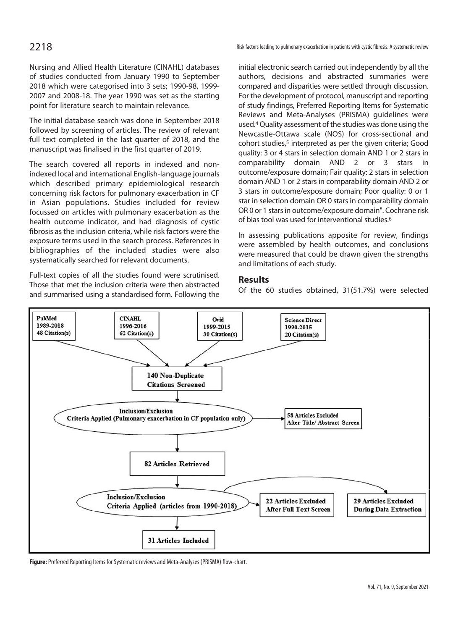Nursing and Allied Health Literature (CINAHL) databases of studies conducted from January 1990 to September 2018 which were categorised into 3 sets; 1990-98, 1999- 2007 and 2008-18. The year 1990 was set as the starting point for literature search to maintain relevance.

The initial database search was done in September 2018 followed by screening of articles. The review of relevant full text completed in the last quarter of 2018, and the manuscript was finalised in the first quarter of 2019.

The search covered all reports in indexed and nonindexed local and international English-language journals which described primary epidemiological research concerning risk factors for pulmonary exacerbation in CF in Asian populations. Studies included for review focussed on articles with pulmonary exacerbation as the health outcome indicator, and had diagnosis of cystic fibrosis as the inclusion criteria, while risk factors were the exposure terms used in the search process. References in bibliographies of the included studies were also systematically searched for relevant documents.

Full-text copies of all the studies found were scrutinised. Those that met the inclusion criteria were then abstracted and summarised using a standardised form. Following the

2218 **Risk factors leading to pulmonary exacer**bation in patients with cystic fibrosis: A systematic review

initial electronic search carried out independently by all the authors, decisions and abstracted summaries were compared and disparities were settled through discussion. For the development of protocol, manuscript and reporting of study findings, Preferred Reporting Items for Systematic Reviews and Meta-Analyses (PRISMA) guidelines were used.4 Quality assessment of the studies was done using the Newcastle-Ottawa scale (NOS) for cross-sectional and cohort studies,<sup>5</sup> interpreted as per the given criteria; Good quality: 3 or 4 stars in selection domain AND 1 or 2 stars in comparability domain AND 2 or 3 stars in outcome/exposure domain; Fair quality: 2 stars in selection domain AND 1 or 2 stars in comparability domain AND 2 or 3 stars in outcome/exposure domain; Poor quality: 0 or 1 star in selection domain OR 0 stars in comparability domain OR 0 or 1 stars in outcome/exposure domain". Cochrane risk of bias tool was used for interventional studies.6

In assessing publications apposite for review, findings were assembled by health outcomes, and conclusions were measured that could be drawn given the strengths and limitations of each study.

### **Results**

Of the 60 studies obtained, 31(51.7%) were selected



**Figure:** Preferred Reporting Items for Systematic reviews and Meta-Analyses (PRISMA) flow-chart.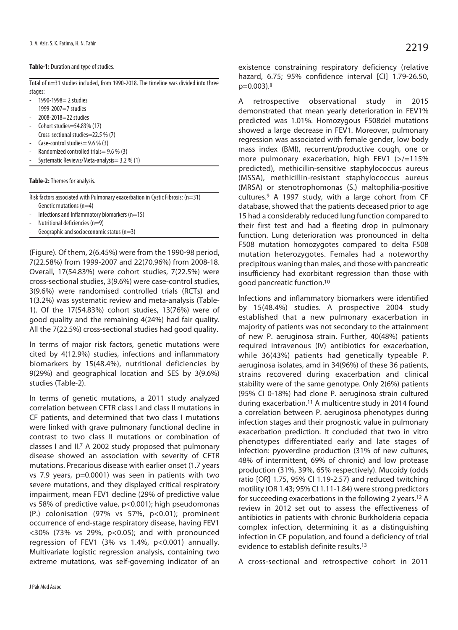### **Table-1:** Duration and type of studies.

Total of n=31 studies included, from 1990-2018. The timeline was divided into three stages:

- 1990-1998= 2 studies
- 1999-2007=7 studies
- 2008-2018=22 studies
- Cohort studies=54.83% (17)
- Cross-sectional studies=22.5 % (7)
- Case-control studies  $= 9.6 %$  (3)
- Randomized controlled trials =  $9.6\%$  (3)
- Systematic Reviews/Meta-analysis = 3.2 % (1)

### **Table-2:** Themes for analysis.

Risk factors associated with Pulmonary exacerbation in Cystic Fibrosis: (n=31)

- Genetic mutations (n=4)
- Infections and Inflammatory biomarkers ( $n=15$ )
- Nutritional deficiencies (n=9)
- Geographic and socioeconomic status  $(n=3)$

(Figure). Of them, 2(6.45%) were from the 1990-98 period, 7(22.58%) from 1999-2007 and 22(70.96%) from 2008-18. Overall, 17(54.83%) were cohort studies, 7(22.5%) were cross-sectional studies, 3(9.6%) were case-control studies, 3(9.6%) were randomised controlled trials (RCTs) and 1(3.2%) was systematic review and meta-analysis (Table-1). Of the 17(54.83%) cohort studies, 13(76%) were of good quality and the remaining 4(24%) had fair quality. All the 7(22.5%) cross-sectional studies had good quality.

In terms of major risk factors, genetic mutations were cited by 4(12.9%) studies, infections and inflammatory biomarkers by 15(48.4%), nutritional deficiencies by 9(29%) and geographical location and SES by 3(9.6%) studies (Table-2).

In terms of genetic mutations, a 2011 study analyzed correlation between CFTR class I and class II mutations in CF patients, and determined that two class I mutations were linked with grave pulmonary functional decline in contrast to two class II mutations or combination of classes I and II.7 A 2002 study proposed that pulmonary disease showed an association with severity of CFTR mutations. Precarious disease with earlier onset (1.7 years vs 7.9 years, p=0.0001) was seen in patients with two severe mutations, and they displayed critical respiratory impairment, mean FEV1 decline (29% of predictive value vs 58% of predictive value, p<0.001); high pseudomonas (P.) colonisation (97% vs 57%, p<0.01); prominent occurrence of end-stage respiratory disease, having FEV1  $<$  30% (73% vs 29%, p $<$  0.05); and with pronounced regression of FEV1 (3% vs 1.4%, p<0.001) annually. Multivariate logistic regression analysis, containing two extreme mutations, was self-governing indicator of an

existence constraining respiratory deficiency (relative hazard, 6.75; 95% confidence interval [CI] 1.79-26.50, p=0.003).8

A retrospective observational study in 2015 demonstrated that mean yearly deterioration in FEV1% predicted was 1.01%. Homozygous F508del mutations showed a large decrease in FEV1. Moreover, pulmonary regression was associated with female gender, low body mass index (BMI), recurrent/productive cough, one or more pulmonary exacerbation, high FEV1 (>/=115% predicted), methicillin-sensitive staphylococcus aureus (MSSA), methicillin-resistant staphylococcus aureus (MRSA) or stenotrophomonas (S.) maltophilia-positive cultures.9 A 1997 study, with a large cohort from CF database, showed that the patients deceased prior to age 15 had a considerably reduced lung function compared to their first test and had a fleeting drop in pulmonary function. Lung deterioration was pronounced in delta F508 mutation homozygotes compared to delta F508 mutation heterozygotes. Females had a noteworthy precipitous waning than males, and those with pancreatic insufficiency had exorbitant regression than those with good pancreatic function.10

Infections and inflammatory biomarkers were identified by 15(48.4%) studies. A prospective 2004 study established that a new pulmonary exacerbation in majority of patients was not secondary to the attainment of new P. aeruginosa strain. Further, 40(48%) patients required intravenous (IV) antibiotics for exacerbation, while 36(43%) patients had genetically typeable P. aeruginosa isolates, amd in 34(96%) of these 36 patients, strains recovered during exacerbation and clinical stability were of the same genotype. Only 2(6%) patients (95% CI 0-18%) had clone P. aeruginosa strain cultured during exacerbation.11 A multicentre study in 2014 found a correlation between P. aeruginosa phenotypes during infection stages and their prognostic value in pulmonary exacerbation prediction. It concluded that two in vitro phenotypes differentiated early and late stages of infection: pyoverdine production (31% of new cultures, 48% of intermittent, 69% of chronic) and low protease production (31%, 39%, 65% respectively). Mucoidy (odds ratio [OR] 1.75, 95% CI 1.19-2.57) and reduced twitching motility (OR 1.43; 95% CI 1.11-1.84) were strong predictors for succeeding exacerbations in the following 2 years.12 A review in 2012 set out to assess the effectiveness of antibiotics in patients with chronic Burkholderia cepacia complex infection, determining it as a distinguishing infection in CF population, and found a deficiency of trial evidence to establish definite results.13

A cross-sectional and retrospective cohort in 2011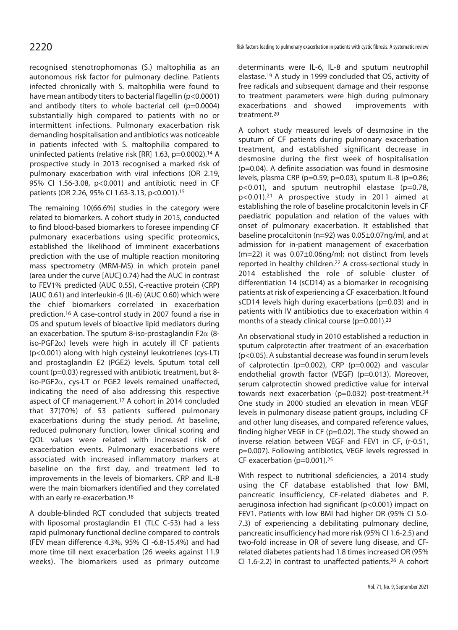recognised stenotrophomonas (S.) maltophilia as an autonomous risk factor for pulmonary decline. Patients infected chronically with S. maltophilia were found to have mean antibody titers to bacterial flagellin (p<0.0001) and antibody titers to whole bacterial cell (p=0.0004) substantially high compared to patients with no or intermittent infections. Pulmonary exacerbation risk demanding hospitalisation and antibiotics was noticeable in patients infected with S. maltophilia compared to uninfected patients (relative risk [RR] 1.63, p=0.0002).14 A prospective study in 2013 recognised a marked risk of pulmonary exacerbation with viral infections (OR 2.19, 95% CI 1.56-3.08, p<0.001) and antibiotic need in CF patients (OR 2.26, 95% CI 1.63-3.13, p<0.001).<sup>15</sup>

The remaining 10(66.6%) studies in the category were related to biomarkers. A cohort study in 2015, conducted to find blood-based biomarkers to foresee impending CF pulmonary exacerbations using specific proteomics, established the likelihood of imminent exacerbations prediction with the use of multiple reaction monitoring mass spectrometry (MRM-MS) in which protein panel (area under the curve [AUC] 0.74) had the AUC in contrast to FEV1% predicted (AUC 0.55), C-reactive protein (CRP) (AUC 0.61) and interleukin-6 (IL-6) (AUC 0.60) which were the chief biomarkers correlated in exacerbation prediction.16 A case-control study in 2007 found a rise in OS and sputum levels of bioactive lipid mediators during an exacerbation. The sputum 8-iso-prostaglandin F2 $\alpha$  (8iso-PGF2 $\alpha$ ) levels were high in acutely ill CF patients (p<0.001) along with high cysteinyl leukotrienes (cys-LT) and prostaglandin E2 (PGE2) levels. Sputum total cell count (p=0.03) regressed with antibiotic treatment, but 8 iso-PGF2 $\alpha$ , cys-LT or PGE2 levels remained unaffected, indicating the need of also addressing this respective aspect of CF management.17 A cohort in 2014 concluded that 37(70%) of 53 patients suffered pulmonary exacerbations during the study period. At baseline, reduced pulmonary function, lower clinical scoring and QOL values were related with increased risk of exacerbation events. Pulmonary exacerbations were associated with increased inflammatory markers at baseline on the first day, and treatment led to improvements in the levels of biomarkers. CRP and IL-8 were the main biomarkers identified and they correlated with an early re-exacerbation.18

A double-blinded RCT concluded that subjects treated with liposomal prostaglandin E1 (TLC C-53) had a less rapid pulmonary functional decline compared to controls (FEV mean difference 4.3%, 95% CI -6.8-15.4%) and had more time till next exacerbation (26 weeks against 11.9 weeks). The biomarkers used as primary outcome determinants were IL-6, IL-8 and sputum neutrophil elastase.19 A study in 1999 concluded that OS, activity of free radicals and subsequent damage and their response to treatment parameters were high during pulmonary exacerbations and showed improvements with treatment.20

A cohort study measured levels of desmosine in the sputum of CF patients during pulmonary exacerbation treatment, and established significant decrease in desmosine during the first week of hospitalisation (p=0.04). A definite association was found in desmosine levels, plasma CRP (p=0.59; p=0.03), sputum IL-8 (p=0.86; p<0.01), and sputum neutrophil elastase (p=0.78, p<0.01).21 A prospective study in 2011 aimed at establishing the role of baseline procalcitonin levels in CF paediatric population and relation of the values with onset of pulmonary exacerbation. It established that baseline procalcitonin (n=92) was 0.05±0.07ng/ml, and at admission for in-patient management of exacerbation (m=22) it was 0.07±0.06ng/ml; not distinct from levels reported in healthy children.22 A cross-sectional study in 2014 established the role of soluble cluster of differentiation 14 (sCD14) as a biomarker in recognising patients at risk of experiencing a CF exacerbation. It found sCD14 levels high during exacerbations (p=0.03) and in patients with IV antibiotics due to exacerbation within 4 months of a steady clinical course (p=0.001).<sup>23</sup>

An observational study in 2010 established a reduction in sputum calprotectin after treatment of an exacerbation (p<0.05). A substantial decrease was found in serum levels of calprotectin (p=0.002), CRP (p=0.002) and vascular endothelial growth factor (VEGF) (p=0.013). Moreover, serum calprotectin showed predictive value for interval towards next exacerbation (p=0.032) post-treatment.<sup>24</sup> One study in 2000 studied an elevation in mean VEGF levels in pulmonary disease patient groups, including CF and other lung diseases, and compared reference values, finding higher VEGF in CF (p=0.02). The study showed an inverse relation between VEGF and FEV1 in CF, (r-0.51, p=0.007). Following antibiotics, VEGF levels regressed in CF exacerbation (p=0.001).25

With respect to nutritional sdeficiencies, a 2014 study using the CF database established that low BMI, pancreatic insufficiency, CF-related diabetes and P. aeruginosa infection had significant (p<0.001) impact on FEV1. Patients with low BMI had higher OR (95% CI 5.0- 7.3) of experiencing a debilitating pulmonary decline, pancreatic insufficiency had more risk (95% CI 1.6-2.5) and two-fold increase in OR of severe lung disease, and CFrelated diabetes patients had 1.8 times increased OR (95% CI 1.6-2.2) in contrast to unaffected patients.26 A cohort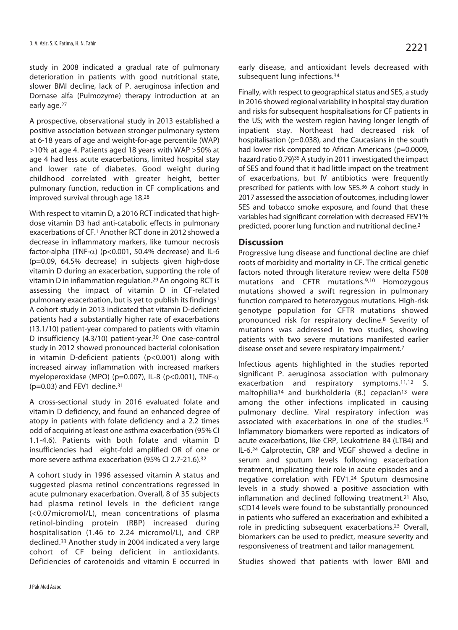study in 2008 indicated a gradual rate of pulmonary deterioration in patients with good nutritional state, slower BMI decline, lack of P. aeruginosa infection and Dornase alfa (Pulmozyme) therapy introduction at an early age.27

A prospective, observational study in 2013 established a positive association between stronger pulmonary system at 6-18 years of age and weight-for-age percentile (WAP) >10% at age 4. Patients aged 18 years with WAP >50% at age 4 had less acute exacerbations, limited hospital stay and lower rate of diabetes. Good weight during childhood correlated with greater height, better pulmonary function, reduction in CF complications and improved survival through age 18.28

With respect to vitamin D, a 2016 RCT indicated that highdose vitamin D3 had anti-catabolic effects in pulmonary exacerbations of CF.1 Another RCT done in 2012 showed a decrease in inflammatory markers, like tumour necrosis factor-alpha (TNF- $\alpha$ ) (p<0.001, 50.4% decrease) and IL-6 (p=0.09, 64.5% decrease) in subjects given high-dose vitamin D during an exacerbation, supporting the role of vitamin D in inflammation regulation.29 An ongoing RCT is assessing the impact of vitamin D in CF-related pulmonary exacerbation, but is yet to publish its findings1 A cohort study in 2013 indicated that vitamin D-deficient patients had a substantially higher rate of exacerbations (13.1/10) patient-year compared to patients with vitamin D insufficiency (4.3/10) patient-year.30 One case-control study in 2012 showed pronounced bacterial colonisation in vitamin D-deficient patients (p<0.001) along with increased airway inflammation with increased markers myeloperoxidase (MPO) (p=0.007), IL-8 (p<0.001), TNF- $\alpha$  $(p=0.03)$  and FEV1 decline.<sup>31</sup>

A cross-sectional study in 2016 evaluated folate and vitamin D deficiency, and found an enhanced degree of atopy in patients with folate deficiency and a 2.2 times odd of acquiring at least one asthma exacerbation (95% CI 1.1-4.6). Patients with both folate and vitamin D insufficiencies had eight-fold amplified OR of one or more severe asthma exacerbation (95% CI 2.7-21.6).32

A cohort study in 1996 assessed vitamin A status and suggested plasma retinol concentrations regressed in acute pulmonary exacerbation. Overall, 8 of 35 subjects had plasma retinol levels in the deficient range (<0.07micromol/L), mean concentrations of plasma retinol-binding protein (RBP) increased during hospitalisation (1.46 to 2.24 micromol/L), and CRP declined.33 Another study in 2004 indicated a very large cohort of CF being deficient in antioxidants. Deficiencies of carotenoids and vitamin E occurred in early disease, and antioxidant levels decreased with subsequent lung infections.34

Finally, with respect to geographical status and SES, a study in 2016 showed regional variability in hospital stay duration and risks for subsequent hospitalisations for CF patients in the US; with the western region having longer length of inpatient stay. Northeast had decreased risk of hospitalisation (p=0.038), and the Caucasians in the south had lower risk compared to African Americans (p=0.0009, hazard ratio 0.79)<sup>35</sup> A study in 2011 investigated the impact of SES and found that it had little impact on the treatment of exacerbations, but IV antibiotics were frequently prescribed for patients with low SES.36 A cohort study in 2017 assessed the association of outcomes, including lower SES and tobacco smoke exposure, and found that these variables had significant correlation with decreased FEV1% predicted, poorer lung function and nutritional decline.2

### **Discussion**

Progressive lung disease and functional decline are chief roots of morbidity and mortality in CF. The critical genetic factors noted through literature review were delta F508 mutations and CFTR mutations.9,10 Homozygous mutations showed a swift regression in pulmonary function compared to heterozygous mutations. High-risk genotype population for CFTR mutations showed pronounced risk for respiratory decline.8 Severity of mutations was addressed in two studies, showing patients with two severe mutations manifested earlier disease onset and severe respiratory impairment.7

Infectious agents highlighted in the studies reported significant P. aeruginosa association with pulmonary exacerbation and respiratory symptoms.11,12 S. maltophilia<sup>14</sup> and burkholderia (B.) cepacian<sup>13</sup> were among the other infections implicated in causing pulmonary decline. Viral respiratory infection was associated with exacerbations in one of the studies.15 Inflammatory biomarkers were reported as indicators of acute exacerbations, like CRP, Leukotriene B4 (LTB4) and IL-6.24 Calprotectin, CRP and VEGF showed a decline in serum and sputum levels following exacerbation treatment, implicating their role in acute episodes and a negative correlation with FEV1.24 Sputum desmosine levels in a study showed a positive association with inflammation and declined following treatment.<sup>21</sup> Also, sCD14 levels were found to be substantially pronounced in patients who suffered an exacerbation and exhibited a role in predicting subsequent exacerbations.23 Overall, biomarkers can be used to predict, measure severity and responsiveness of treatment and tailor management.

Studies showed that patients with lower BMI and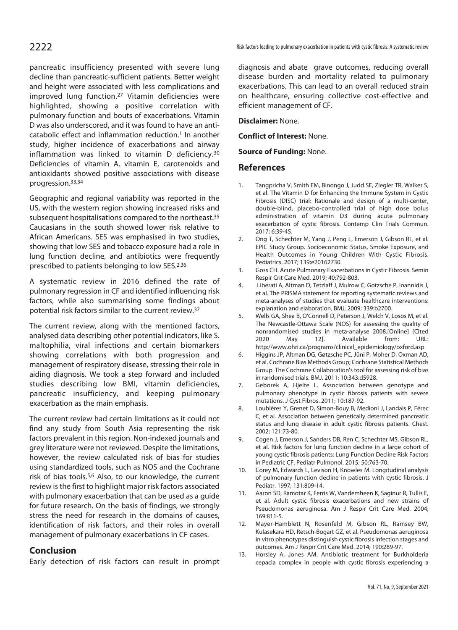pancreatic insufficiency presented with severe lung decline than pancreatic-sufficient patients. Better weight and height were associated with less complications and improved lung function.27 Vitamin deficiencies were highlighted, showing a positive correlation with pulmonary function and bouts of exacerbations. Vitamin D was also underscored, and it was found to have an anticatabolic effect and inflammation reduction.1 In another study, higher incidence of exacerbations and airway inflammation was linked to vitamin D deficiency.30 Deficiencies of vitamin A, vitamin E, carotenoids and antioxidants showed positive associations with disease progression.33,34

Geographic and regional variability was reported in the US, with the western region showing increased risks and subsequent hospitalisations compared to the northeast.<sup>35</sup> Caucasians in the south showed lower risk relative to African Americans. SES was emphasised in two studies, showing that low SES and tobacco exposure had a role in lung function decline, and antibiotics were frequently prescribed to patients belonging to low SES.2,36

A systematic review in 2016 defined the rate of pulmonary regression in CF and identified influencing risk factors, while also summarising some findings about potential risk factors similar to the current review.37

The current review, along with the mentioned factors, analysed data describing other potential indicators, like S. maltophilia, viral infections and certain biomarkers showing correlations with both progression and management of respiratory disease, stressing their role in aiding diagnosis. We took a step forward and included studies describing low BMI, vitamin deficiencies, pancreatic insufficiency, and keeping pulmonary exacerbation as the main emphasis.

The current review had certain limitations as it could not find any study from South Asia representing the risk factors prevalent in this region. Non-indexed journals and grey literature were not reviewed. Despite the limitations, however, the review calculated risk of bias for studies using standardized tools, such as NOS and the Cochrane risk of bias tools.5,6 Also, to our knowledge, the current review is the first to highlight major risk factors associated with pulmonary exacerbation that can be used as a guide for future research. On the basis of findings, we strongly stress the need for research in the domains of causes, identification of risk factors, and their roles in overall management of pulmonary exacerbations in CF cases.

### **Conclusion**

Early detection of risk factors can result in prompt

diagnosis and abate grave outcomes, reducing overall disease burden and mortality related to pulmonary exacerbations. This can lead to an overall reduced strain on healthcare, ensuring collective cost-effective and efficient management of CF.

**Disclaimer:** None.

**Conflict of Interest:** None.

**Source of Funding:** None.

### **References**

- 1. Tangpricha V, Smith EM, Binongo J, Judd SE, Ziegler TR, Walker S, et al. The Vitamin D for Enhancing the Immune System in Cystic Fibrosis (DISC) trial: Rationale and design of a multi-center, double-blind, placebo-controlled trial of high dose bolus administration of vitamin D3 during acute pulmonary exacerbation of cystic fibrosis. Contemp Clin Trials Commun. 2017; 6:39-45.
- 2. Ong T, Schechter M, Yang J, Peng L, Emerson J, Gibson RL, et al. EPIC Study Group. Socioeconomic Status, Smoke Exposure, and Health Outcomes in Young Children With Cystic Fibrosis. Pediatrics. 2017; 139:e20162730.
- 3. Goss CH. Acute Pulmonary Exacerbations in Cystic Fibrosis. Semin Respir Crit Care Med. 2019; 40:792-803.
- 4. Liberati A, Altman D, Tetzlaff J, Mulrow C, Gotzsche P, Ioannidis J, et al. The PRISMA statement for reporting systematic reviews and meta-analyses of studies that evaluate healthcare interventions: explanation and elaboration. BMJ. 2009; 339:b2700.
- 5. Wells GA, Shea B, O'Connell D, Peterson J, Welch V, Losos M, et al. The Newcastle-Ottawa Scale (NOS) for assessing the quality of nonrandomised studies in meta-analyse 2008.[Online] [Cited 2020 May 12]. Available from: URL: http://www.ohri.ca/programs/clinical\_epidemiology/oxford.asp
- 6. Higgins JP, Altman DG, Gøtzsche PC, Jüni P, Moher D, Oxman AD, et al. Cochrane Bias Methods Group; Cochrane Statistical Methods Group. The Cochrane Collaboration's tool for assessing risk of bias in randomised trials. BMJ. 2011; 10:343:d5928.
- 7. Geborek A, Hjelte L. Association between genotype and pulmonary phenotype in cystic fibrosis patients with severe mutations. J Cyst Fibros. 2011; 10:187-92.
- 8. Loubières Y, Grenet D, Simon-Bouy B, Medioni J, Landais P, Férec C, et al. Association between genetically determined pancreatic status and lung disease in adult cystic fibrosis patients. Chest. 2002; 121:73-80.
- 9. Cogen J, Emerson J, Sanders DB, Ren C, Schechter MS, Gibson RL, et al. Risk factors for lung function decline in a large cohort of young cystic fibrosis patients: Lung Function Decline Risk Factors in Pediatric CF. Pediatr Pulmonol. 2015; 50:763-70.
- 10. Corey M, Edwards L, Levison H, Knowles M. Longitudinal analysis of pulmonary function decline in patients with cystic fibrosis. J Pediatr. 1997; 131:809-14.
- 11. Aaron SD, Ramotar K, Ferris W, Vandemheen K, Saginur R, Tullis E, et al. Adult cystic fibrosis exacerbations and new strains of Pseudomonas aeruginosa. Am J Respir Crit Care Med. 2004; 169:811-5.
- 12. Mayer-Hamblett N, Rosenfeld M, Gibson RL, Ramsey BW, Kulasekara HD, Retsch-Bogart GZ, et al. Pseudomonas aeruginosa in vitro phenotypes distinguish cystic fibrosis infection stages and outcomes. Am J Respir Crit Care Med. 2014; 190:289-97.
- 13. Horsley A, Jones AM. Antibiotic treatment for Burkholderia cepacia complex in people with cystic fibrosis experiencing a